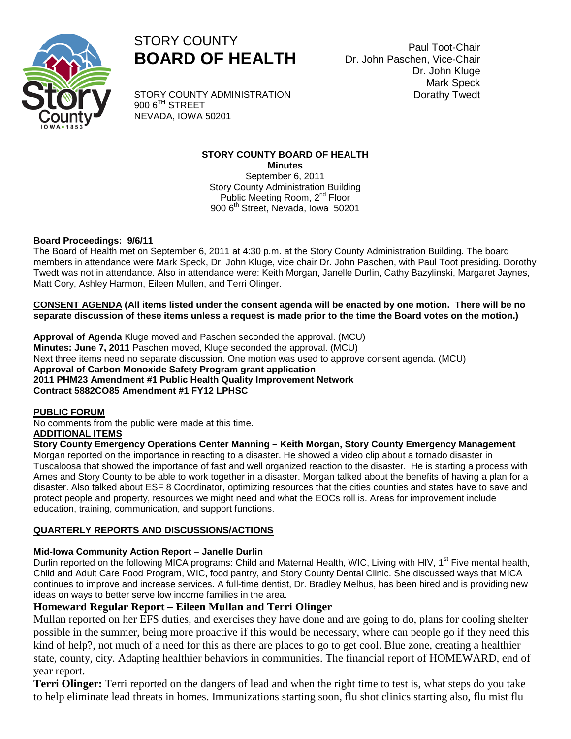



STORY COUNTY ADMINISTRATION  $900$  6<sup>TH</sup> STREET NEVADA, IOWA 50201

### **STORY COUNTY BOARD OF HEALTH Minutes**

September 6, 2011 Story County Administration Building Public Meeting Room, 2<sup>nd</sup> Floor 900 6<sup>th</sup> Street, Nevada, Iowa 50201

## **Board Proceedings: 9/6/11**

The Board of Health met on September 6, 2011 at 4:30 p.m. at the Story County Administration Building. The board members in attendance were Mark Speck, Dr. John Kluge, vice chair Dr. John Paschen, with Paul Toot presiding. Dorothy Twedt was not in attendance. Also in attendance were: Keith Morgan, Janelle Durlin, Cathy Bazylinski, Margaret Jaynes, Matt Cory, Ashley Harmon, Eileen Mullen, and Terri Olinger.

**CONSENT AGENDA (All items listed under the consent agenda will be enacted by one motion. There will be no separate discussion of these items unless a request is made prior to the time the Board votes on the motion.)**

**Approval of Agenda** Kluge moved and Paschen seconded the approval. (MCU) **Minutes: June 7, 2011** Paschen moved, Kluge seconded the approval. (MCU) Next three items need no separate discussion. One motion was used to approve consent agenda. (MCU) **Approval of Carbon Monoxide Safety Program grant application 2011 PHM23 Amendment #1 Public Health Quality Improvement Network Contract 5882CO85 Amendment #1 FY12 LPHSC**

#### **PUBLIC FORUM**

No comments from the public were made at this time. **ADDITIONAL ITEMS**

**Story County Emergency Operations Center Manning – Keith Morgan, Story County Emergency Management**

Morgan reported on the importance in reacting to a disaster. He showed a video clip about a tornado disaster in Tuscaloosa that showed the importance of fast and well organized reaction to the disaster. He is starting a process with Ames and Story County to be able to work together in a disaster. Morgan talked about the benefits of having a plan for a disaster. Also talked about ESF 8 Coordinator, optimizing resources that the cities counties and states have to save and protect people and property, resources we might need and what the EOCs roll is. Areas for improvement include education, training, communication, and support functions.

## **QUARTERLY REPORTS AND DISCUSSIONS/ACTIONS**

## **Mid-Iowa Community Action Report – Janelle Durlin**

Durlin reported on the following MICA programs: Child and Maternal Health, WIC, Living with HIV, 1<sup>st</sup> Five mental health, Child and Adult Care Food Program, WIC, food pantry, and Story County Dental Clinic. She discussed ways that MICA continues to improve and increase services. A full-time dentist, Dr. Bradley Melhus, has been hired and is providing new ideas on ways to better serve low income families in the area.

## **Homeward Regular Report – Eileen Mullan and Terri Olinger**

Mullan reported on her EFS duties, and exercises they have done and are going to do, plans for cooling shelter possible in the summer, being more proactive if this would be necessary, where can people go if they need this kind of help?, not much of a need for this as there are places to go to get cool. Blue zone, creating a healthier state, county, city. Adapting healthier behaviors in communities. The financial report of HOMEWARD, end of year report.

**Terri Olinger:** Terri reported on the dangers of lead and when the right time to test is, what steps do you take to help eliminate lead threats in homes. Immunizations starting soon, flu shot clinics starting also, flu mist flu